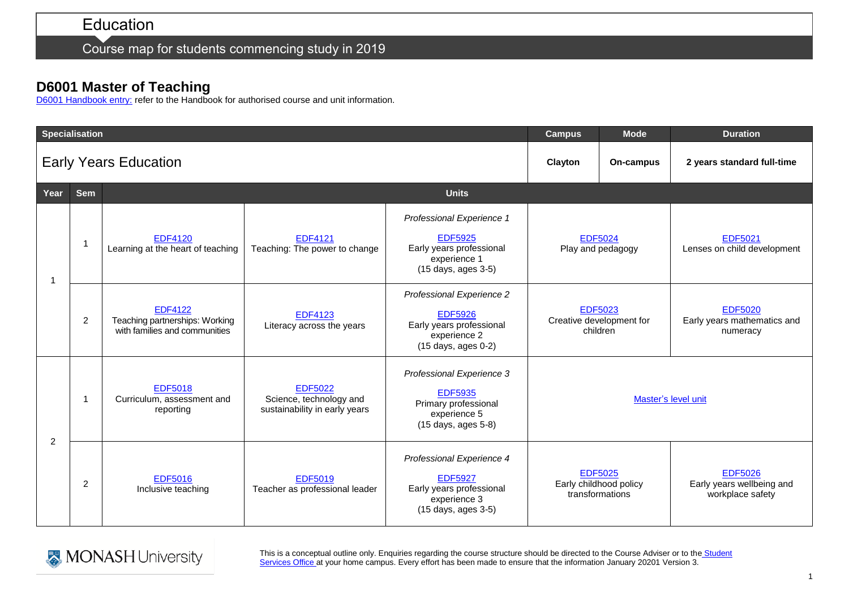Course map for students commencing study in 2019

## **D6001 Master of Teaching**

[D6001 Handbook entry:](http://www.monash.edu.au/pubs/2019handbooks/courses/D6001.html) refer to the Handbook for authorised course and unit information.

| <b>Specialisation</b>        |                |                                                                                   |                                                                            |                                                                                                                                  | <b>Campus</b>                                               | <b>Mode</b> | <b>Duration</b>                                                 |
|------------------------------|----------------|-----------------------------------------------------------------------------------|----------------------------------------------------------------------------|----------------------------------------------------------------------------------------------------------------------------------|-------------------------------------------------------------|-------------|-----------------------------------------------------------------|
| <b>Early Years Education</b> |                |                                                                                   |                                                                            |                                                                                                                                  | Clayton                                                     | On-campus   | 2 years standard full-time                                      |
| Year                         | <b>Sem</b>     | <b>Units</b>                                                                      |                                                                            |                                                                                                                                  |                                                             |             |                                                                 |
| -1                           |                | <b>EDF4120</b><br>Learning at the heart of teaching                               | <b>EDF4121</b><br>Teaching: The power to change                            | Professional Experience 1<br><b>EDF5925</b><br>Early years professional<br>experience 1<br>(15 days, ages 3-5)                   | <b>EDF5024</b><br>Play and pedagogy                         |             | <b>EDF5021</b><br>Lenses on child development                   |
|                              | $\overline{2}$ | <b>EDF4122</b><br>Teaching partnerships: Working<br>with families and communities | <b>EDF4123</b><br>Literacy across the years                                | Professional Experience 2<br><b>EDF5926</b><br>Early years professional<br>experience 2<br>(15 days, ages 0-2)                   | <b>EDF5023</b><br>Creative development for<br>children      |             | <b>EDF5020</b><br>Early years mathematics and<br>numeracy       |
| 2                            |                | <b>EDF5018</b><br>Curriculum, assessment and<br>reporting                         | <b>EDF5022</b><br>Science, technology and<br>sustainability in early years | Professional Experience 3<br><b>EDF5935</b><br>Primary professional<br>experience 5<br>(15 days, ages 5-8)                       | Master's level unit                                         |             |                                                                 |
|                              | 2              | <b>EDF5016</b><br>Inclusive teaching                                              | <b>EDF5019</b><br>Teacher as professional leader                           | Professional Experience 4<br><b>EDF5927</b><br>Early years professional<br>experience 3<br>$(15 \text{ days}, \text{ages } 3-5)$ | <b>EDF5025</b><br>Early childhood policy<br>transformations |             | <b>EDF5026</b><br>Early years wellbeing and<br>workplace safety |



This is a conceptual outline only. Enquiries regarding the course structure should be directed to the Course Adviser or to the Student [Services Office a](https://www.monash.edu/education/current-students/contact)t your home campus. Every effort has been made to ensure that the information January 20201 Version 3.